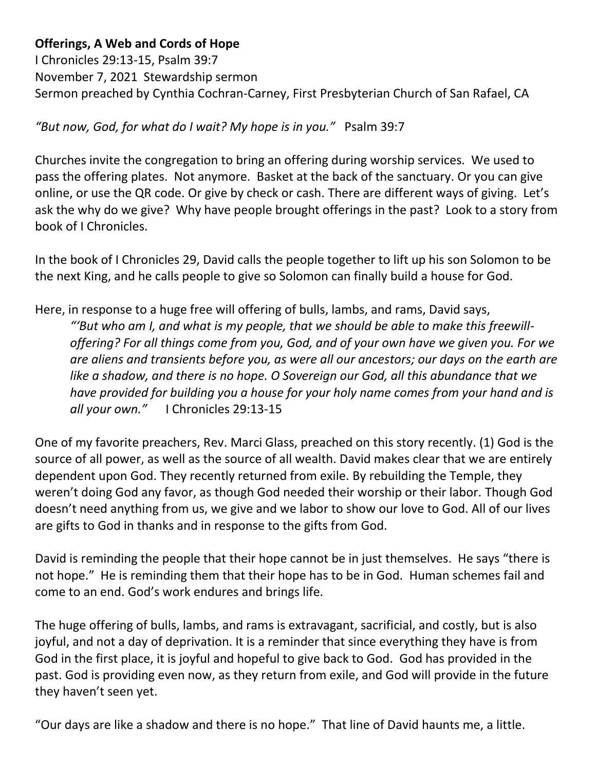## **Offerings, A Web and Cords of Hope**

I Chronicles 29:13-15, Psalm 39:7 November 7, 2021 Stewardship sermon Sermon preached by Cynthia Cochran-Carney, First Presbyterian Church of San Rafael, CA

## *"But now, God, for what do I wait? My hope is in you."* Psalm 39:7

Churches invite the congregation to bring an offering during worship services. We used to pass the offering plates. Not anymore. Basket at the back of the sanctuary. Or you can give online, or use the QR code. Or give by check or cash. There are different ways of giving. Let's ask the why do we give? Why have people brought offerings in the past? Look to a story from book of I Chronicles.

In the book of I Chronicles 29, David calls the people together to lift up his son Solomon to be the next King, and he calls people to give so Solomon can finally build a house for God.

Here, in response to a huge free will offering of bulls, lambs, and rams, David says,

*"'But who am I, and what is my people, that we should be able to make this freewilloffering? For all things come from you, God, and of your own have we given you. For we are aliens and transients before you, as were all our ancestors; our days on the earth are like a shadow, and there is no hope. O Sovereign our God, all this abundance that we have provided for building you a house for your holy name comes from your hand and is all your own."* I Chronicles 29:13-15

One of my favorite preachers, Rev. Marci Glass, preached on this story recently. (1) God is the source of all power, as well as the source of all wealth. David makes clear that we are entirely dependent upon God. They recently returned from exile. By rebuilding the Temple, they weren't doing God any favor, as though God needed their worship or their labor. Though God doesn't need anything from us, we give and we labor to show our love to God. All of our lives are gifts to God in thanks and in response to the gifts from God.

David is reminding the people that their hope cannot be in just themselves. He says "there is not hope." He is reminding them that their hope has to be in God. Human schemes fail and come to an end. God's work endures and brings life.

The huge offering of bulls, lambs, and rams is extravagant, sacrificial, and costly, but is also joyful, and not a day of deprivation. It is a reminder that since everything they have is from God in the first place, it is joyful and hopeful to give back to God. God has provided in the past. God is providing even now, as they return from exile, and God will provide in the future they haven't seen yet.

"Our days are like a shadow and there is no hope." That line of David haunts me, a little.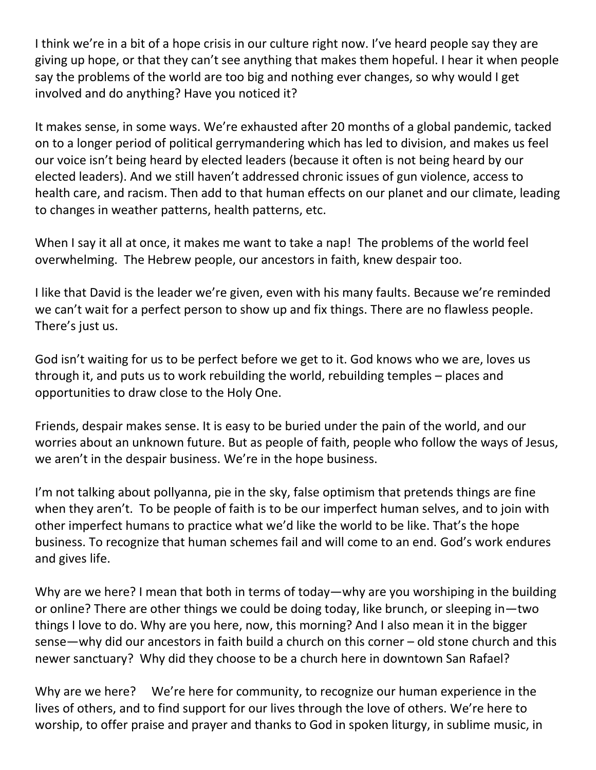I think we're in a bit of a hope crisis in our culture right now. I've heard people say they are giving up hope, or that they can't see anything that makes them hopeful. I hear it when people say the problems of the world are too big and nothing ever changes, so why would I get involved and do anything? Have you noticed it?

It makes sense, in some ways. We're exhausted after 20 months of a global pandemic, tacked on to a longer period of political gerrymandering which has led to division, and makes us feel our voice isn't being heard by elected leaders (because it often is not being heard by our elected leaders). And we still haven't addressed chronic issues of gun violence, access to health care, and racism. Then add to that human effects on our planet and our climate, leading to changes in weather patterns, health patterns, etc.

When I say it all at once, it makes me want to take a nap! The problems of the world feel overwhelming. The Hebrew people, our ancestors in faith, knew despair too.

I like that David is the leader we're given, even with his many faults. Because we're reminded we can't wait for a perfect person to show up and fix things. There are no flawless people. There's just us.

God isn't waiting for us to be perfect before we get to it. God knows who we are, loves us through it, and puts us to work rebuilding the world, rebuilding temples – places and opportunities to draw close to the Holy One.

Friends, despair makes sense. It is easy to be buried under the pain of the world, and our worries about an unknown future. But as people of faith, people who follow the ways of Jesus, we aren't in the despair business. We're in the hope business.

I'm not talking about pollyanna, pie in the sky, false optimism that pretends things are fine when they aren't. To be people of faith is to be our imperfect human selves, and to join with other imperfect humans to practice what we'd like the world to be like. That's the hope business. To recognize that human schemes fail and will come to an end. God's work endures and gives life.

Why are we here? I mean that both in terms of today—why are you worshiping in the building or online? There are other things we could be doing today, like brunch, or sleeping in—two things I love to do. Why are you here, now, this morning? And I also mean it in the bigger sense—why did our ancestors in faith build a church on this corner – old stone church and this newer sanctuary? Why did they choose to be a church here in downtown San Rafael?

Why are we here? We're here for community, to recognize our human experience in the lives of others, and to find support for our lives through the love of others. We're here to worship, to offer praise and prayer and thanks to God in spoken liturgy, in sublime music, in